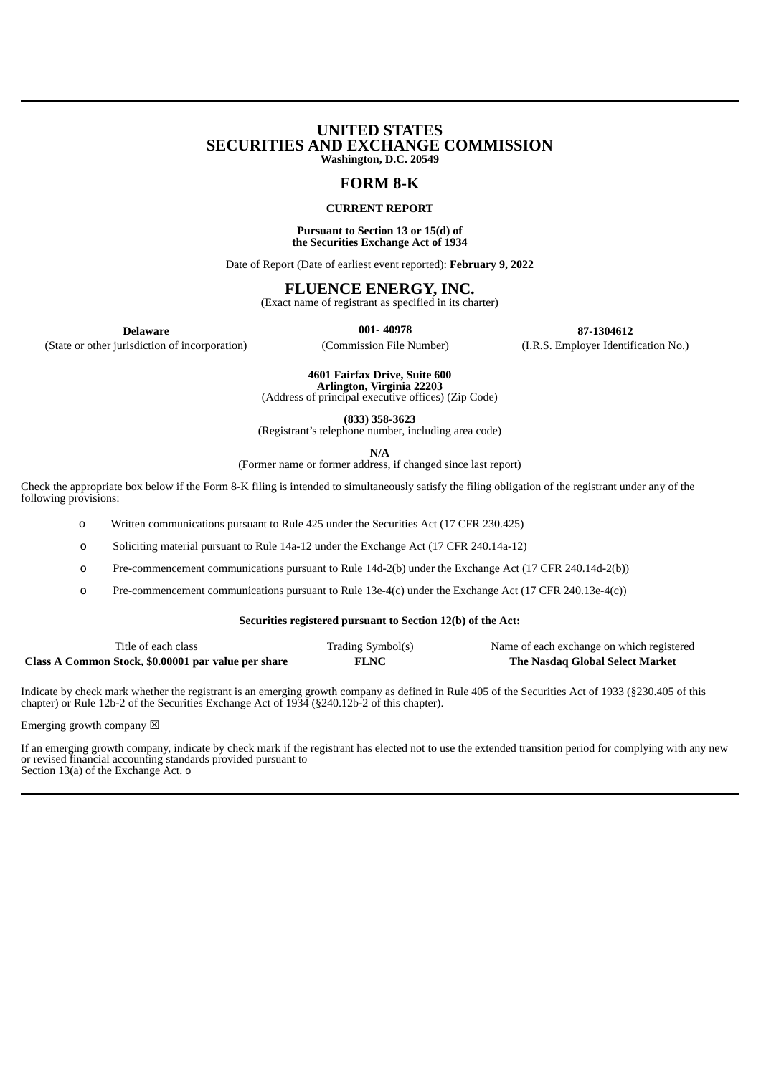# **UNITED STATES SECURITIES AND EXCHANGE COMMISSION Washington, D.C. 20549**

# **FORM 8-K**

## **CURRENT REPORT**

#### **Pursuant to Section 13 or 15(d) of the Securities Exchange Act of 1934**

Date of Report (Date of earliest event reported): **February 9, 2022**

# **FLUENCE ENERGY, INC.**

(Exact name of registrant as specified in its charter)

(State or other jurisdiction of incorporation) (Commission File Number) (I.R.S. Employer Identification No.)

**Delaware 001- 40978 87-1304612**

**4601 Fairfax Drive, Suite 600**

**Arlington, Virginia 22203** (Address of principal executive offices) (Zip Code)

**(833) 358-3623**

(Registrant's telephone number, including area code)

**N/A**

(Former name or former address, if changed since last report)

Check the appropriate box below if the Form 8-K filing is intended to simultaneously satisfy the filing obligation of the registrant under any of the following provisions:

o Written communications pursuant to Rule 425 under the Securities Act (17 CFR 230.425)

o Soliciting material pursuant to Rule 14a-12 under the Exchange Act (17 CFR 240.14a-12)

o Pre-commencement communications pursuant to Rule 14d-2(b) under the Exchange Act (17 CFR 240.14d-2(b))

o Pre-commencement communications pursuant to Rule 13e-4(c) under the Exchange Act (17 CFR 240.13e-4(c))

### **Securities registered pursuant to Section 12(b) of the Act:**

| Title of each class                                 | Trading Symbol(s) | Name of each exchange on which registered |
|-----------------------------------------------------|-------------------|-------------------------------------------|
| Class A Common Stock, \$0.00001 par value per share | <b>FLNC</b>       | The Nasdag Global Select Market           |

Indicate by check mark whether the registrant is an emerging growth company as defined in Rule 405 of the Securities Act of 1933 (§230.405 of this chapter) or Rule 12b-2 of the Securities Exchange Act of 1934 (§240.12b-2 of this chapter).

Emerging growth company  $\boxtimes$ 

If an emerging growth company, indicate by check mark if the registrant has elected not to use the extended transition period for complying with any new or revised financial accounting standards provided pursuant to Section 13(a) of the Exchange Act. o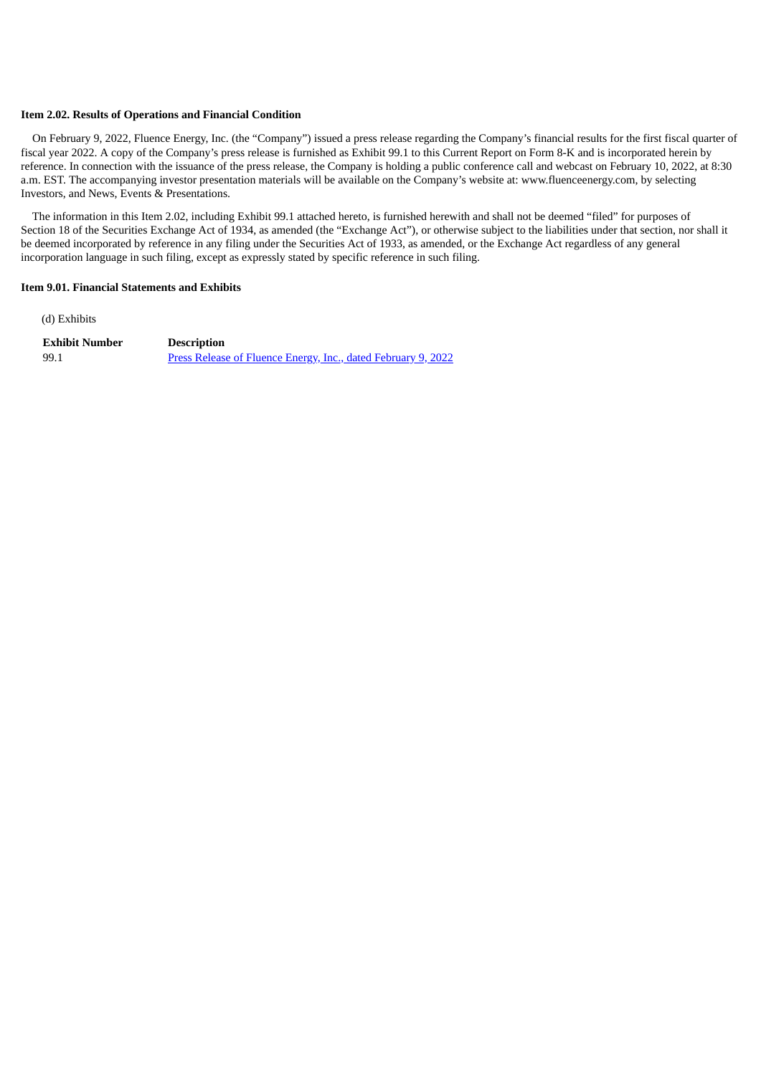### **Item 2.02. Results of Operations and Financial Condition**

On February 9, 2022, Fluence Energy, Inc. (the "Company") issued a press release regarding the Company's financial results for the first fiscal quarter of fiscal year 2022. A copy of the Company's press release is furnished as Exhibit 99.1 to this Current Report on Form 8-K and is incorporated herein by reference. In connection with the issuance of the press release, the Company is holding a public conference call and webcast on February 10, 2022, at 8:30 a.m. EST. The accompanying investor presentation materials will be available on the Company's website at: www.fluenceenergy.com, by selecting Investors, and News, Events & Presentations.

The information in this Item 2.02, including Exhibit 99.1 attached hereto, is furnished herewith and shall not be deemed "filed" for purposes of Section 18 of the Securities Exchange Act of 1934, as amended (the "Exchange Act"), or otherwise subject to the liabilities under that section, nor shall it be deemed incorporated by reference in any filing under the Securities Act of 1933, as amended, or the Exchange Act regardless of any general incorporation language in such filing, except as expressly stated by specific reference in such filing.

## **Item 9.01. Financial Statements and Exhibits**

(d) Exhibits

**Exhibit Number Description** 99.1 Press Release of Fluence Energy, Inc., dated [February](#page-3-0) 9, 2022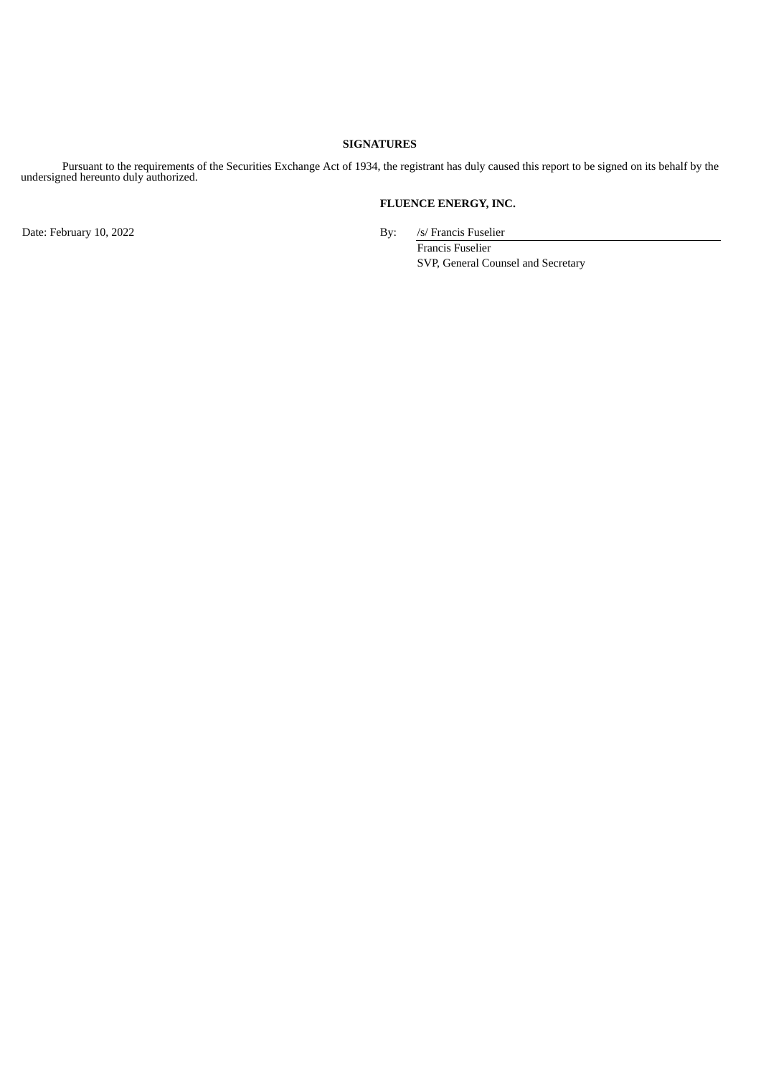# **SIGNATURES**

Pursuant to the requirements of the Securities Exchange Act of 1934, the registrant has duly caused this report to be signed on its behalf by the undersigned hereunto duly authorized.

# **FLUENCE ENERGY, INC.**

Date: February 10, 2022 By: /s/ Francis Fuselier

Francis Fuselier SVP, General Counsel and Secretary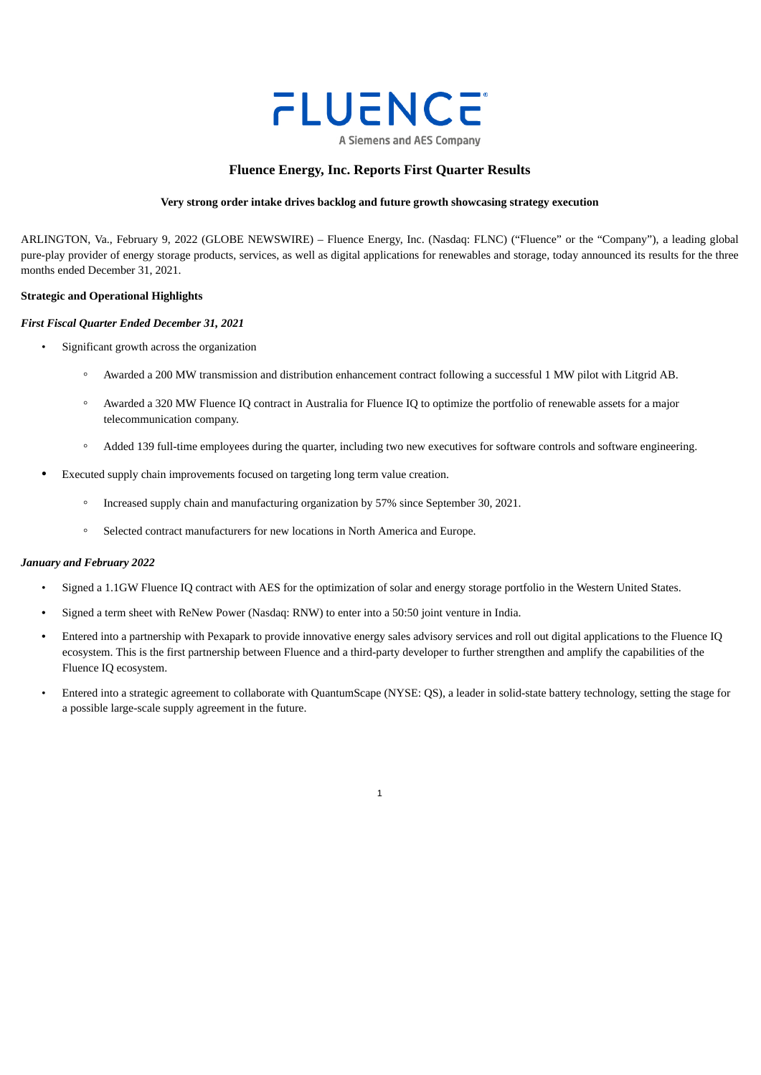

# **Fluence Energy, Inc. Reports First Quarter Results**

# **Very strong order intake drives backlog and future growth showcasing strategy execution**

<span id="page-3-0"></span>ARLINGTON, Va., February 9, 2022 (GLOBE NEWSWIRE) – Fluence Energy, Inc. (Nasdaq: FLNC) ("Fluence" or the "Company"), a leading global pure-play provider of energy storage products, services, as well as digital applications for renewables and storage, today announced its results for the three months ended December 31, 2021.

## **Strategic and Operational Highlights**

### *First Fiscal Quarter Ended December 31, 2021*

- Significant growth across the organization
	- Awarded a 200 MW transmission and distribution enhancement contract following a successful 1 MW pilot with Litgrid AB.
	- Awarded a 320 MW Fluence IQ contract in Australia for Fluence IQ to optimize the portfolio of renewable assets for a major telecommunication company.
	- Added 139 full-time employees during the quarter, including two new executives for software controls and software engineering.
- Executed supply chain improvements focused on targeting long term value creation.
	- Increased supply chain and manufacturing organization by 57% since September 30, 2021.
	- Selected contract manufacturers for new locations in North America and Europe.

### *January and February 2022*

- Signed a 1.1GW Fluence IQ contract with AES for the optimization of solar and energy storage portfolio in the Western United States.
- Signed a term sheet with ReNew Power (Nasdaq: RNW) to enter into a 50:50 joint venture in India.
- Entered into a partnership with Pexapark to provide innovative energy sales advisory services and roll out digital applications to the Fluence IQ ecosystem. This is the first partnership between Fluence and a third-party developer to further strengthen and amplify the capabilities of the Fluence IQ ecosystem.
- Entered into a strategic agreement to collaborate with QuantumScape (NYSE: QS), a leader in solid-state battery technology, setting the stage for a possible large-scale supply agreement in the future.

1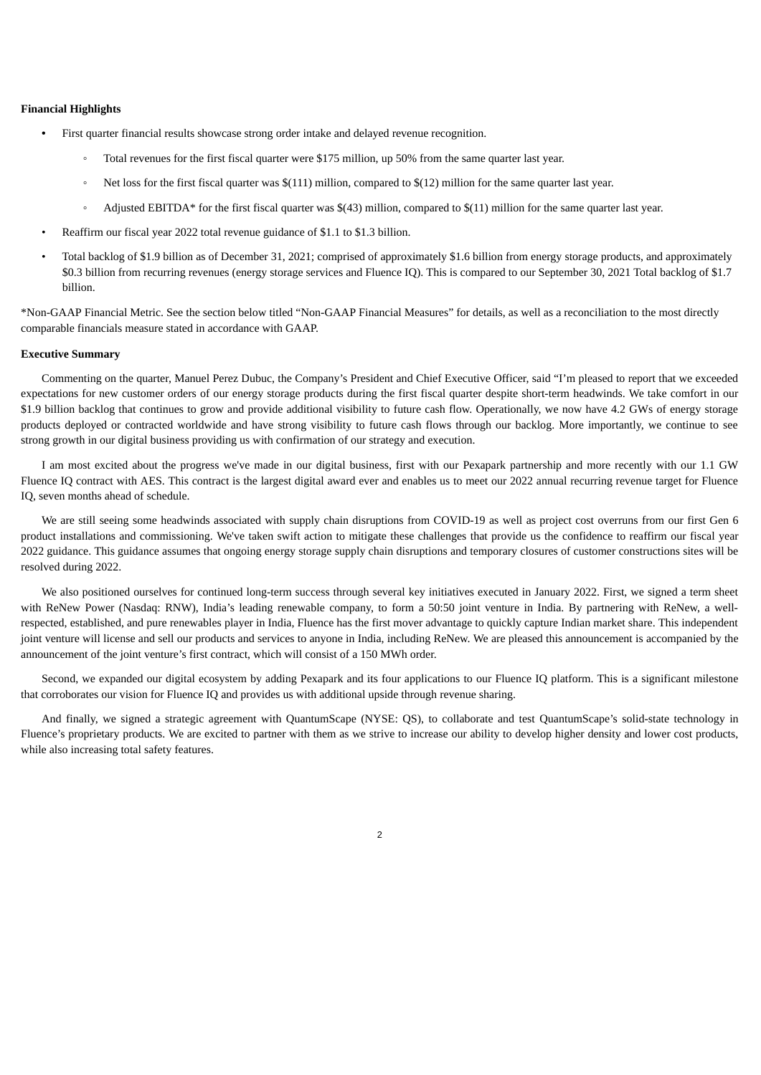## **Financial Highlights**

- First quarter financial results showcase strong order intake and delayed revenue recognition.
	- Total revenues for the first fiscal quarter were \$175 million, up 50% from the same quarter last year.
	- Net loss for the first fiscal quarter was \$(111) million, compared to \$(12) million for the same quarter last year.
	- Adjusted EBITDA\* for the first fiscal quarter was \$(43) million, compared to \$(11) million for the same quarter last year.
- Reaffirm our fiscal year 2022 total revenue guidance of \$1.1 to \$1.3 billion.
- Total backlog of \$1.9 billion as of December 31, 2021; comprised of approximately \$1.6 billion from energy storage products, and approximately \$0.3 billion from recurring revenues (energy storage services and Fluence IQ). This is compared to our September 30, 2021 Total backlog of \$1.7 billion.

\*Non-GAAP Financial Metric. See the section below titled "Non-GAAP Financial Measures" for details, as well as a reconciliation to the most directly comparable financials measure stated in accordance with GAAP.

## **Executive Summary**

Commenting on the quarter, Manuel Perez Dubuc, the Company's President and Chief Executive Officer, said "I'm pleased to report that we exceeded expectations for new customer orders of our energy storage products during the first fiscal quarter despite short-term headwinds. We take comfort in our \$1.9 billion backlog that continues to grow and provide additional visibility to future cash flow. Operationally, we now have 4.2 GWs of energy storage products deployed or contracted worldwide and have strong visibility to future cash flows through our backlog. More importantly, we continue to see strong growth in our digital business providing us with confirmation of our strategy and execution.

I am most excited about the progress we've made in our digital business, first with our Pexapark partnership and more recently with our 1.1 GW Fluence IQ contract with AES. This contract is the largest digital award ever and enables us to meet our 2022 annual recurring revenue target for Fluence IQ, seven months ahead of schedule.

We are still seeing some headwinds associated with supply chain disruptions from COVID-19 as well as project cost overruns from our first Gen 6 product installations and commissioning. We've taken swift action to mitigate these challenges that provide us the confidence to reaffirm our fiscal year 2022 guidance. This guidance assumes that ongoing energy storage supply chain disruptions and temporary closures of customer constructions sites will be resolved during 2022.

We also positioned ourselves for continued long-term success through several key initiatives executed in January 2022. First, we signed a term sheet with ReNew Power (Nasdaq: RNW), India's leading renewable company, to form a 50:50 joint venture in India. By partnering with ReNew, a wellrespected, established, and pure renewables player in India, Fluence has the first mover advantage to quickly capture Indian market share. This independent joint venture will license and sell our products and services to anyone in India, including ReNew. We are pleased this announcement is accompanied by the announcement of the joint venture's first contract, which will consist of a 150 MWh order.

Second, we expanded our digital ecosystem by adding Pexapark and its four applications to our Fluence IQ platform. This is a significant milestone that corroborates our vision for Fluence IQ and provides us with additional upside through revenue sharing.

And finally, we signed a strategic agreement with QuantumScape (NYSE: QS), to collaborate and test QuantumScape's solid-state technology in Fluence's proprietary products. We are excited to partner with them as we strive to increase our ability to develop higher density and lower cost products, while also increasing total safety features.

 $\overline{2}$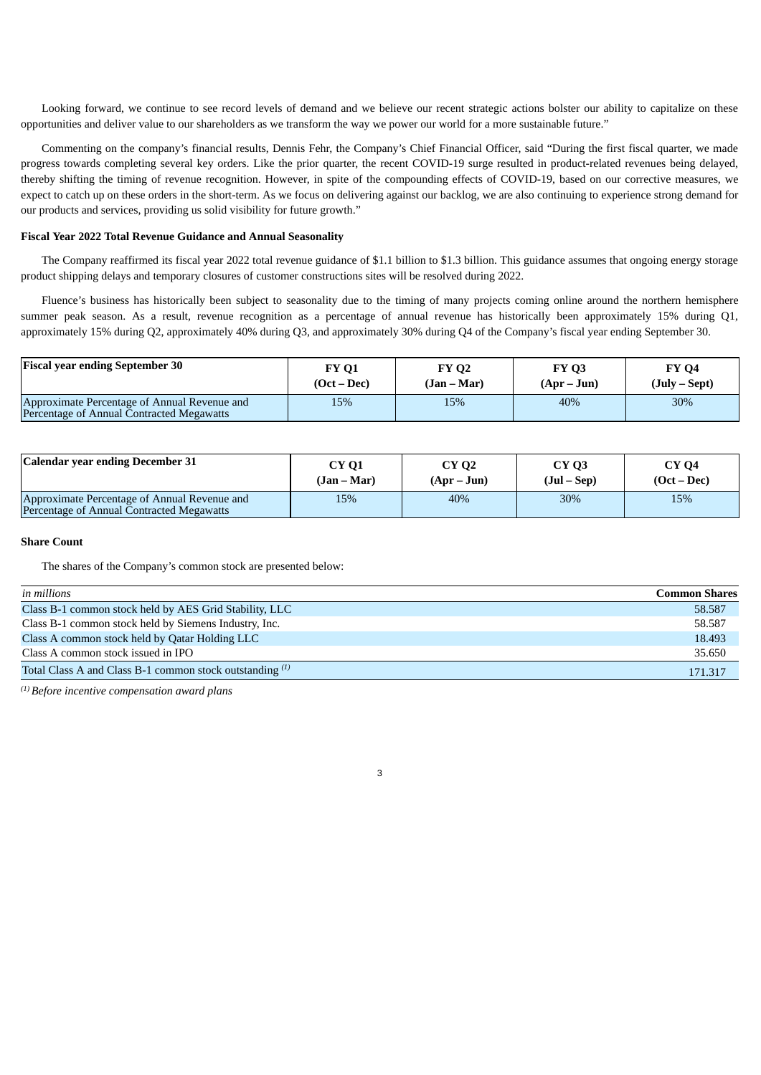Looking forward, we continue to see record levels of demand and we believe our recent strategic actions bolster our ability to capitalize on these opportunities and deliver value to our shareholders as we transform the way we power our world for a more sustainable future."

Commenting on the company's financial results, Dennis Fehr, the Company's Chief Financial Officer, said "During the first fiscal quarter, we made progress towards completing several key orders. Like the prior quarter, the recent COVID-19 surge resulted in product-related revenues being delayed, thereby shifting the timing of revenue recognition. However, in spite of the compounding effects of COVID-19, based on our corrective measures, we expect to catch up on these orders in the short-term. As we focus on delivering against our backlog, we are also continuing to experience strong demand for our products and services, providing us solid visibility for future growth."

#### **Fiscal Year 2022 Total Revenue Guidance and Annual Seasonality**

The Company reaffirmed its fiscal year 2022 total revenue guidance of \$1.1 billion to \$1.3 billion. This guidance assumes that ongoing energy storage product shipping delays and temporary closures of customer constructions sites will be resolved during 2022.

Fluence's business has historically been subject to seasonality due to the timing of many projects coming online around the northern hemisphere summer peak season. As a result, revenue recognition as a percentage of annual revenue has historically been approximately 15% during Q1, approximately 15% during Q2, approximately 40% during Q3, and approximately 30% during Q4 of the Company's fiscal year ending September 30.

| <b>Fiscal year ending September 30</b>                                                    | <b>FY 01</b>  | <b>FY 02</b> | <b>FY 03</b> | <b>FY 04</b>    |
|-------------------------------------------------------------------------------------------|---------------|--------------|--------------|-----------------|
|                                                                                           | $(Oct - Dec)$ | (Jan – Mar)  | $(Apr-Jun)$  | $(July - Sept)$ |
| Approximate Percentage of Annual Revenue and<br>Percentage of Annual Contracted Megawatts | 15%           | 15%          | 40%          | 30%             |

| Calendar year ending December 31                                                          | CY 01       | <b>CY 02</b> | CY <sub>Q</sub> 3 | <b>CY 04</b>  |
|-------------------------------------------------------------------------------------------|-------------|--------------|-------------------|---------------|
|                                                                                           | (Jan – Mar) | $(Apr-Jun)$  | $(Jul - Sep)$     | $(Oct - Dec)$ |
| Approximate Percentage of Annual Revenue and<br>Percentage of Annual Contracted Megawatts | 15%         | 40%          | 30%               | 15%           |

## **Share Count**

The shares of the Company's common stock are presented below:

| in millions                                                | <b>Common Shares</b> |
|------------------------------------------------------------|----------------------|
| Class B-1 common stock held by AES Grid Stability, LLC     | 58.587               |
| Class B-1 common stock held by Siemens Industry, Inc.      | 58.587               |
| Class A common stock held by Qatar Holding LLC             | 18.493               |
| Class A common stock issued in IPO                         | 35.650               |
| Total Class A and Class B-1 common stock outstanding $(1)$ | 171.317              |

3

*Before incentive compensation award plans (1)*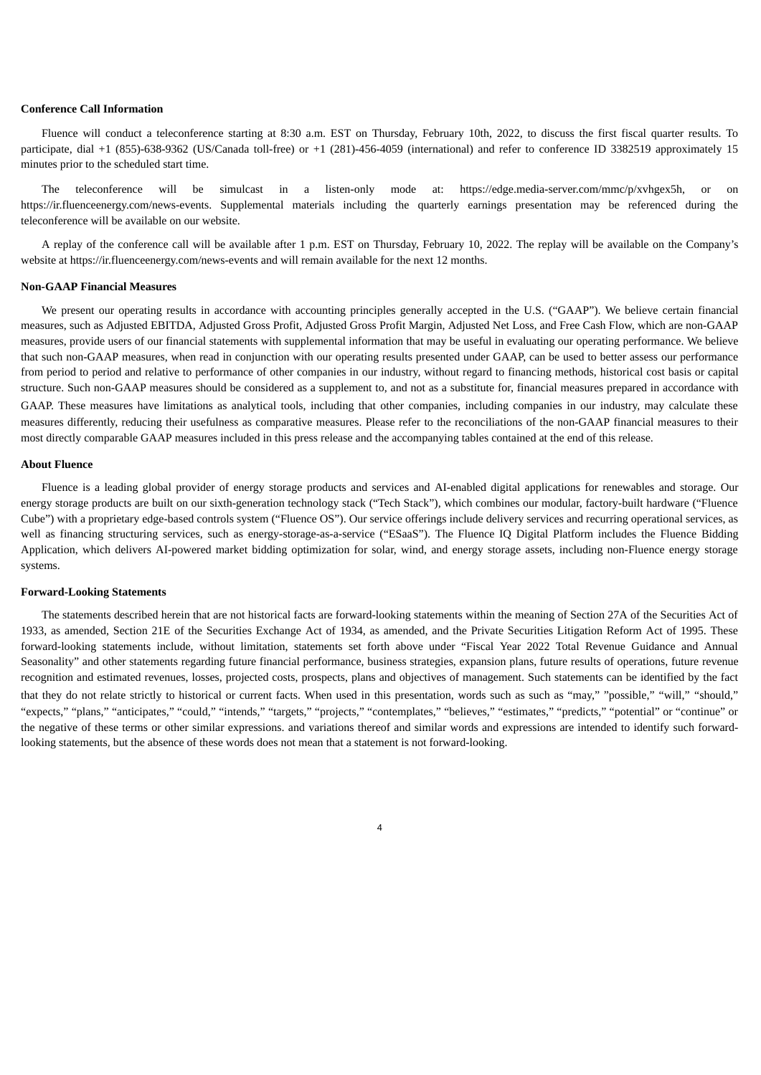## **Conference Call Information**

Fluence will conduct a teleconference starting at 8:30 a.m. EST on Thursday, February 10th, 2022, to discuss the first fiscal quarter results. To participate, dial +1 (855)-638-9362 (US/Canada toll-free) or +1 (281)-456-4059 (international) and refer to conference ID 3382519 approximately 15 minutes prior to the scheduled start time.

The teleconference will be simulcast in a listen-only mode at: https://edge.media-server.com/mmc/p/xvhgex5h, or on https://ir.fluenceenergy.com/news-events. Supplemental materials including the quarterly earnings presentation may be referenced during the teleconference will be available on our website.

A replay of the conference call will be available after 1 p.m. EST on Thursday, February 10, 2022. The replay will be available on the Company's website at https://ir.fluenceenergy.com/news-events and will remain available for the next 12 months.

#### **Non-GAAP Financial Measures**

We present our operating results in accordance with accounting principles generally accepted in the U.S. ("GAAP"). We believe certain financial measures, such as Adjusted EBITDA, Adjusted Gross Profit, Adjusted Gross Profit Margin, Adjusted Net Loss, and Free Cash Flow, which are non-GAAP measures, provide users of our financial statements with supplemental information that may be useful in evaluating our operating performance. We believe that such non-GAAP measures, when read in conjunction with our operating results presented under GAAP, can be used to better assess our performance from period to period and relative to performance of other companies in our industry, without regard to financing methods, historical cost basis or capital structure. Such non-GAAP measures should be considered as a supplement to, and not as a substitute for, financial measures prepared in accordance with GAAP. These measures have limitations as analytical tools, including that other companies, including companies in our industry, may calculate these measures differently, reducing their usefulness as comparative measures. Please refer to the reconciliations of the non-GAAP financial measures to their most directly comparable GAAP measures included in this press release and the accompanying tables contained at the end of this release.

#### **About Fluence**

Fluence is a leading global provider of energy storage products and services and AI-enabled digital applications for renewables and storage. Our energy storage products are built on our sixth-generation technology stack ("Tech Stack"), which combines our modular, factory-built hardware ("Fluence Cube") with a proprietary edge-based controls system ("Fluence OS"). Our service offerings include delivery services and recurring operational services, as well as financing structuring services, such as energy-storage-as-a-service ("ESaaS"). The Fluence IQ Digital Platform includes the Fluence Bidding Application, which delivers AI-powered market bidding optimization for solar, wind, and energy storage assets, including non-Fluence energy storage systems.

### **Forward-Looking Statements**

The statements described herein that are not historical facts are forward-looking statements within the meaning of Section 27A of the Securities Act of 1933, as amended, Section 21E of the Securities Exchange Act of 1934, as amended, and the Private Securities Litigation Reform Act of 1995. These forward-looking statements include, without limitation, statements set forth above under "Fiscal Year 2022 Total Revenue Guidance and Annual Seasonality" and other statements regarding future financial performance, business strategies, expansion plans, future results of operations, future revenue recognition and estimated revenues, losses, projected costs, prospects, plans and objectives of management. Such statements can be identified by the fact that they do not relate strictly to historical or current facts. When used in this presentation, words such as such as "may," "possible," "will," "should," "expects," "plans," "anticipates," "could," "intends," "targets," "projects," "contemplates," "believes," "estimates," "predicts," "potential" or "continue" or the negative of these terms or other similar expressions. and variations thereof and similar words and expressions are intended to identify such forwardlooking statements, but the absence of these words does not mean that a statement is not forward-looking.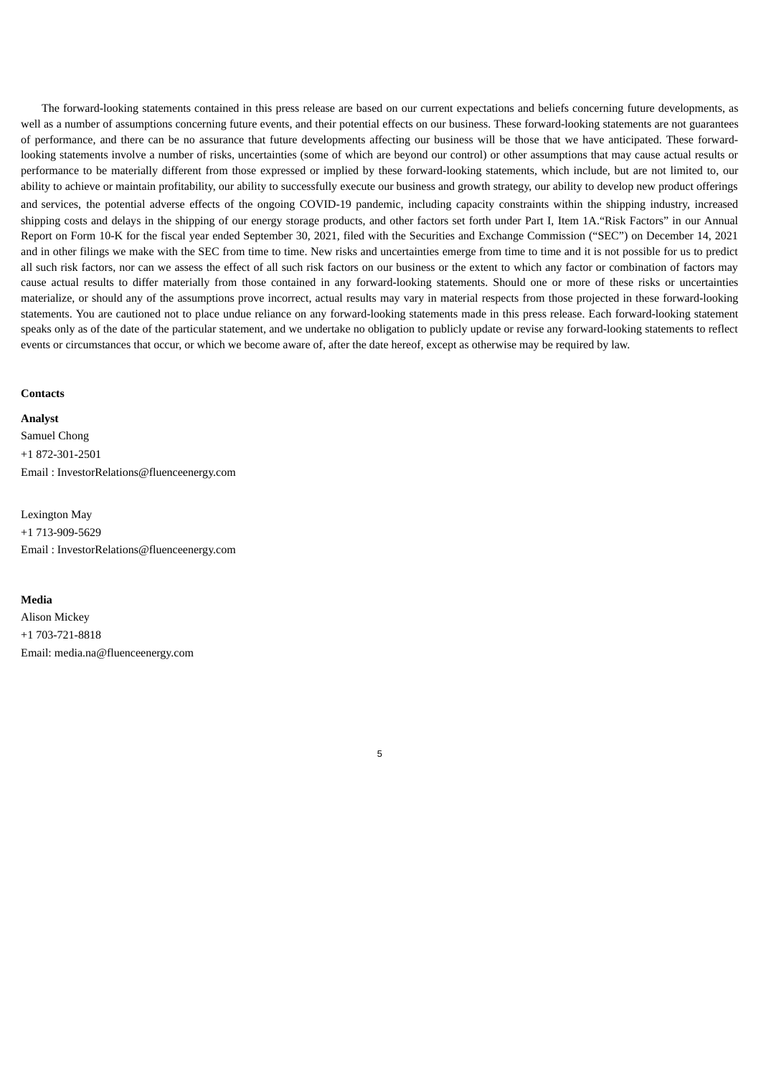The forward-looking statements contained in this press release are based on our current expectations and beliefs concerning future developments, as well as a number of assumptions concerning future events, and their potential effects on our business. These forward-looking statements are not guarantees of performance, and there can be no assurance that future developments affecting our business will be those that we have anticipated. These forwardlooking statements involve a number of risks, uncertainties (some of which are beyond our control) or other assumptions that may cause actual results or performance to be materially different from those expressed or implied by these forward-looking statements, which include, but are not limited to, our ability to achieve or maintain profitability, our ability to successfully execute our business and growth strategy, our ability to develop new product offerings and services, the potential adverse effects of the ongoing COVID-19 pandemic, including capacity constraints within the shipping industry, increased shipping costs and delays in the shipping of our energy storage products, and other factors set forth under Part I, Item 1A."Risk Factors" in our Annual Report on Form 10-K for the fiscal year ended September 30, 2021, filed with the Securities and Exchange Commission ("SEC") on December 14, 2021 and in other filings we make with the SEC from time to time. New risks and uncertainties emerge from time to time and it is not possible for us to predict all such risk factors, nor can we assess the effect of all such risk factors on our business or the extent to which any factor or combination of factors may cause actual results to differ materially from those contained in any forward-looking statements. Should one or more of these risks or uncertainties materialize, or should any of the assumptions prove incorrect, actual results may vary in material respects from those projected in these forward-looking statements. You are cautioned not to place undue reliance on any forward-looking statements made in this press release. Each forward-looking statement speaks only as of the date of the particular statement, and we undertake no obligation to publicly update or revise any forward-looking statements to reflect events or circumstances that occur, or which we become aware of, after the date hereof, except as otherwise may be required by law.

5

#### **Contacts**

**Analyst**

Samuel Chong +1 872-301-2501 Email : InvestorRelations@fluenceenergy.com

Lexington May +1 713-909-5629 Email : InvestorRelations@fluenceenergy.com

## **Media**

Alison Mickey +1 703-721-8818 Email: media.na@fluenceenergy.com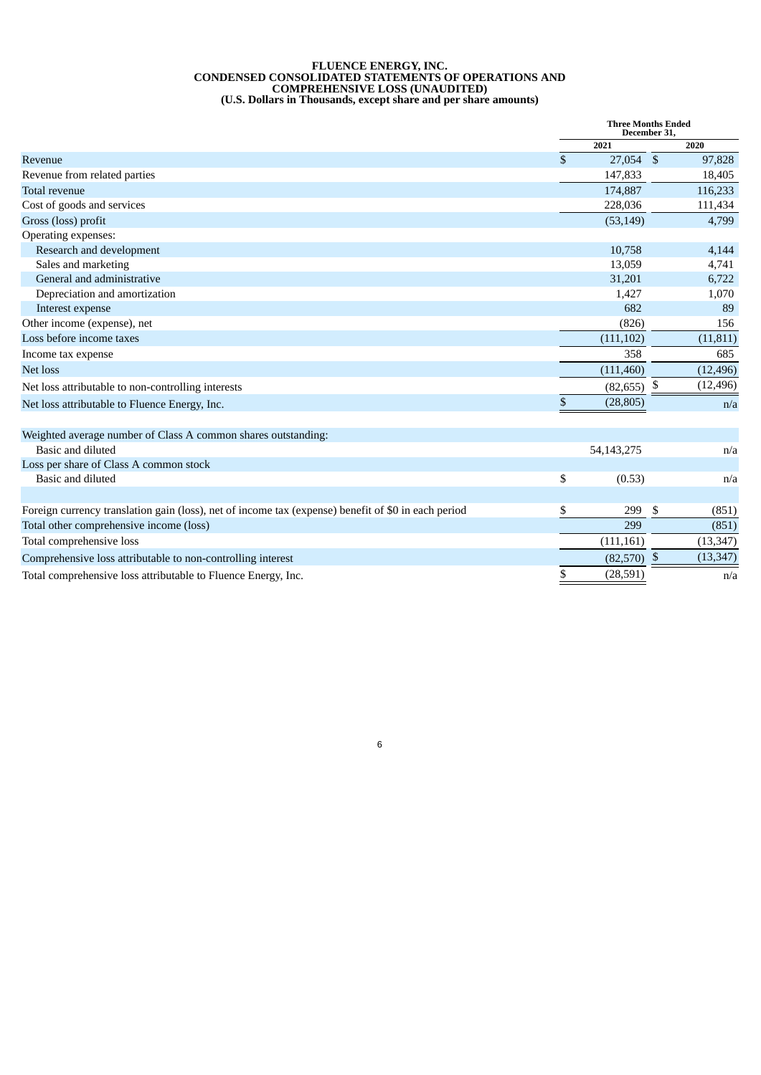#### **FLUENCE ENERGY, INC. CONDENSED CONSOLIDATED STATEMENTS OF OPERATIONS AND COMPREHENSIVE LOSS (UNAUDITED) (U.S. Dollars in Thousands, except share and per share amounts)**

|                                                                                                     | <b>Three Months Ended</b><br>December 31, |               |      |           |
|-----------------------------------------------------------------------------------------------------|-------------------------------------------|---------------|------|-----------|
|                                                                                                     |                                           | 2021          |      | 2020      |
| Revenue                                                                                             | \$                                        | 27,054 \$     |      | 97,828    |
| Revenue from related parties                                                                        |                                           | 147,833       |      | 18,405    |
| Total revenue                                                                                       |                                           | 174,887       |      | 116,233   |
| Cost of goods and services                                                                          |                                           | 228,036       |      | 111,434   |
| Gross (loss) profit                                                                                 |                                           | (53, 149)     |      | 4,799     |
| Operating expenses:                                                                                 |                                           |               |      |           |
| Research and development                                                                            |                                           | 10,758        |      | 4,144     |
| Sales and marketing                                                                                 |                                           | 13,059        |      | 4,741     |
| General and administrative                                                                          |                                           | 31,201        |      | 6,722     |
| Depreciation and amortization                                                                       |                                           | 1,427         |      | 1,070     |
| Interest expense                                                                                    |                                           | 682           |      | 89        |
| Other income (expense), net                                                                         |                                           | (826)         |      | 156       |
| Loss before income taxes                                                                            |                                           | (111, 102)    |      | (11, 811) |
| Income tax expense                                                                                  |                                           | 358           |      | 685       |
| Net loss                                                                                            |                                           | (111, 460)    |      | (12, 496) |
| Net loss attributable to non-controlling interests                                                  |                                           | $(82,655)$ \$ |      | (12, 496) |
| Net loss attributable to Fluence Energy, Inc.                                                       | \$                                        | (28, 805)     |      | n/a       |
| Weighted average number of Class A common shares outstanding:                                       |                                           |               |      |           |
| Basic and diluted                                                                                   |                                           | 54,143,275    |      | n/a       |
| Loss per share of Class A common stock                                                              |                                           |               |      |           |
| Basic and diluted                                                                                   | \$                                        | (0.53)        |      | n/a       |
| Foreign currency translation gain (loss), net of income tax (expense) benefit of \$0 in each period | \$                                        | 299           | \$   | (851)     |
| Total other comprehensive income (loss)                                                             |                                           | 299           |      | (851)     |
| Total comprehensive loss                                                                            |                                           | (111, 161)    |      | (13, 347) |
| Comprehensive loss attributable to non-controlling interest                                         |                                           | (82, 570)     | - \$ | (13, 347) |
| Total comprehensive loss attributable to Fluence Energy, Inc.                                       | \$                                        | (28, 591)     |      | n/a       |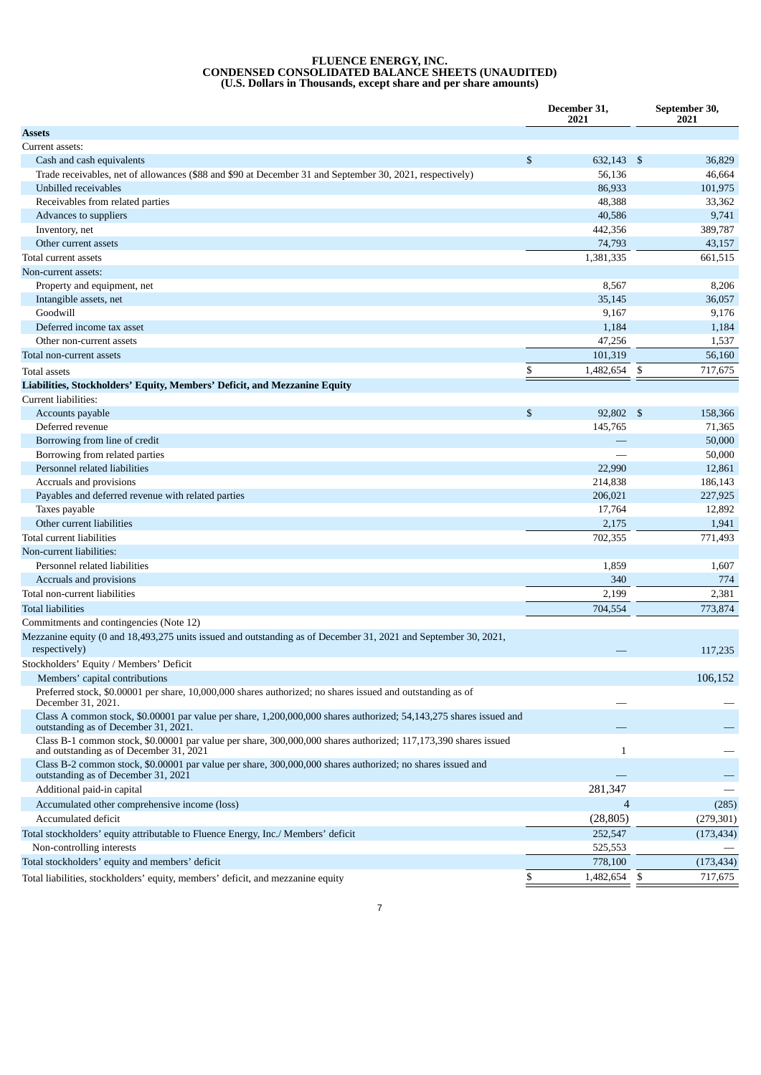#### **FLUENCE ENERGY, INC. CONDENSED CONSOLIDATED BALANCE SHEETS (UNAUDITED) (U.S. Dollars in Thousands, except share and per share amounts)**

|                                                                                                                                                            | December 31,<br>2021 | September 30,<br>2021 |
|------------------------------------------------------------------------------------------------------------------------------------------------------------|----------------------|-----------------------|
| <b>Assets</b>                                                                                                                                              |                      |                       |
| Current assets:                                                                                                                                            |                      |                       |
| Cash and cash equivalents                                                                                                                                  | \$<br>632,143 \$     | 36,829                |
| Trade receivables, net of allowances (\$88 and \$90 at December 31 and September 30, 2021, respectively)                                                   | 56,136               | 46,664                |
| Unbilled receivables                                                                                                                                       | 86,933               | 101,975               |
| Receivables from related parties                                                                                                                           | 48,388               | 33,362                |
| Advances to suppliers                                                                                                                                      | 40,586               | 9,741                 |
| Inventory, net                                                                                                                                             | 442,356              | 389,787               |
| Other current assets                                                                                                                                       | 74,793               | 43,157                |
| Total current assets                                                                                                                                       | 1,381,335            | 661,515               |
| Non-current assets:                                                                                                                                        |                      |                       |
| Property and equipment, net                                                                                                                                | 8,567                | 8,206                 |
| Intangible assets, net                                                                                                                                     | 35,145               | 36,057                |
| Goodwill                                                                                                                                                   | 9,167                | 9,176                 |
| Deferred income tax asset                                                                                                                                  | 1,184                | 1,184                 |
| Other non-current assets                                                                                                                                   | 47,256               | 1,537                 |
| Total non-current assets                                                                                                                                   | 101,319              | 56,160                |
| <b>Total assets</b>                                                                                                                                        | \$<br>1,482,654      | \$<br>717,675         |
| Liabilities, Stockholders' Equity, Members' Deficit, and Mezzanine Equity                                                                                  |                      |                       |
| Current liabilities:                                                                                                                                       |                      |                       |
| Accounts payable                                                                                                                                           | \$<br>92,802 \$      | 158,366               |
| Deferred revenue                                                                                                                                           | 145,765              | 71,365                |
| Borrowing from line of credit                                                                                                                              |                      | 50,000                |
| Borrowing from related parties                                                                                                                             |                      | 50,000                |
| Personnel related liabilities                                                                                                                              | 22,990               | 12,861                |
| Accruals and provisions                                                                                                                                    | 214,838              | 186,143               |
| Payables and deferred revenue with related parties                                                                                                         | 206,021              | 227,925               |
| Taxes payable                                                                                                                                              | 17,764               | 12,892                |
| Other current liabilities                                                                                                                                  | 2,175                | 1,941                 |
| Total current liabilities                                                                                                                                  | 702,355              | 771,493               |
| Non-current liabilities:                                                                                                                                   |                      |                       |
| Personnel related liabilities                                                                                                                              | 1,859                | 1,607                 |
| Accruals and provisions                                                                                                                                    | 340                  | 774                   |
| Total non-current liabilities                                                                                                                              | 2,199                | 2,381                 |
| <b>Total liabilities</b>                                                                                                                                   | 704,554              | 773,874               |
| Commitments and contingencies (Note 12)                                                                                                                    |                      |                       |
| Mezzanine equity (0 and 18,493,275 units issued and outstanding as of December 31, 2021 and September 30, 2021,<br>respectively)                           |                      | 117,235               |
| Stockholders' Equity / Members' Deficit                                                                                                                    |                      |                       |
| Members' capital contributions                                                                                                                             |                      | 106,152               |
| Preferred stock, \$0.00001 per share, 10,000,000 shares authorized; no shares issued and outstanding as of<br>December 31, 2021.                           |                      |                       |
| Class A common stock, \$0.00001 par value per share, 1,200,000,000 shares authorized; 54,143,275 shares issued and<br>outstanding as of December 31, 2021. |                      |                       |
| Class B-1 common stock, \$0.00001 par value per share, 300,000,000 shares authorized; 117,173,390 shares issued<br>and outstanding as of December 31, 2021 | 1                    |                       |
| Class B-2 common stock, \$0.00001 par value per share, 300,000,000 shares authorized; no shares issued and<br>outstanding as of December 31, 2021          |                      |                       |
| Additional paid-in capital                                                                                                                                 | 281,347              |                       |
| Accumulated other comprehensive income (loss)                                                                                                              | 4                    | (285)                 |
| Accumulated deficit                                                                                                                                        | (28, 805)            | (279, 301)            |
| Total stockholders' equity attributable to Fluence Energy, Inc./ Members' deficit                                                                          | 252,547              | (173, 434)            |
| Non-controlling interests                                                                                                                                  | 525,553              |                       |
| Total stockholders' equity and members' deficit                                                                                                            | 778,100              | (173, 434)            |
| Total liabilities, stockholders' equity, members' deficit, and mezzanine equity                                                                            | \$<br>1,482,654      | \$<br>717,675         |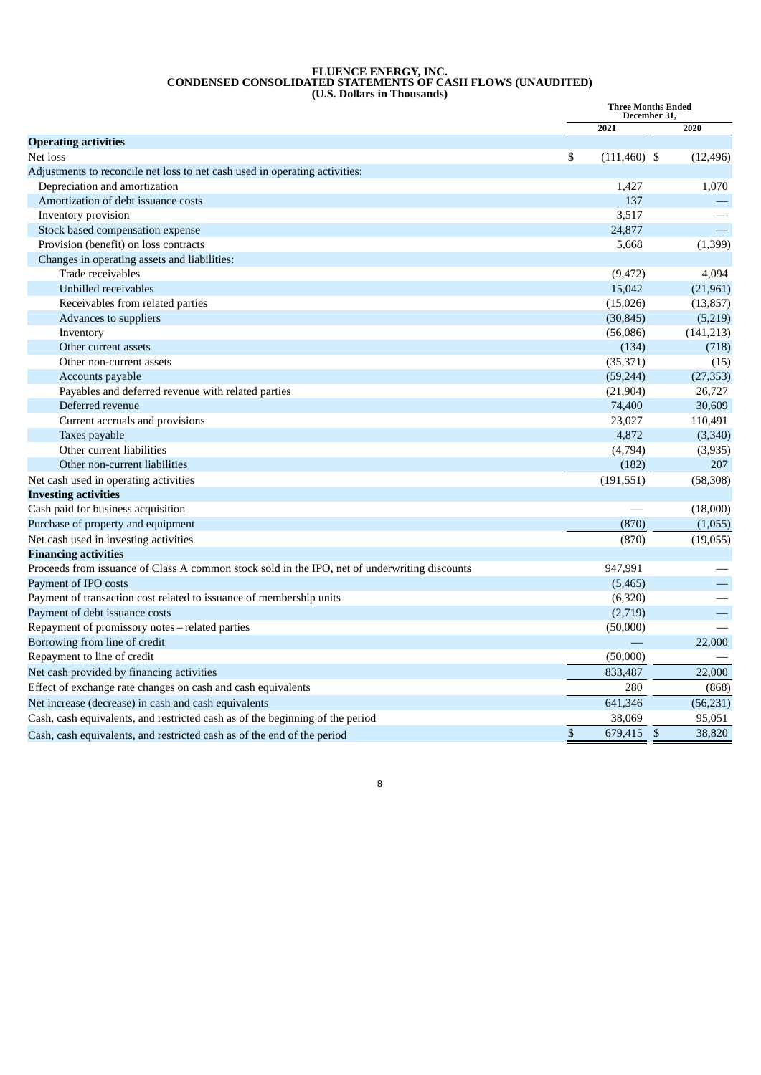#### **FLUENCE ENERGY, INC. CONDENSED CONSOLIDATED STATEMENTS OF CASH FLOWS (UNAUDITED) (U.S. Dollars in Thousands)**

|                                                                                               | <b>Three Months Ended</b><br>December 31, |                 |                          |
|-----------------------------------------------------------------------------------------------|-------------------------------------------|-----------------|--------------------------|
|                                                                                               |                                           | 2021            | 2020                     |
| <b>Operating activities</b>                                                                   |                                           |                 |                          |
| Net loss                                                                                      | \$                                        | $(111, 460)$ \$ | (12, 496)                |
| Adjustments to reconcile net loss to net cash used in operating activities:                   |                                           |                 |                          |
| Depreciation and amortization                                                                 |                                           | 1,427           | 1,070                    |
| Amortization of debt issuance costs                                                           |                                           | 137             |                          |
| Inventory provision                                                                           |                                           | 3,517           |                          |
| Stock based compensation expense                                                              |                                           | 24,877          |                          |
| Provision (benefit) on loss contracts                                                         |                                           | 5,668           | (1, 399)                 |
| Changes in operating assets and liabilities:                                                  |                                           |                 |                          |
| Trade receivables                                                                             |                                           | (9, 472)        | 4,094                    |
| Unbilled receivables                                                                          |                                           | 15,042          | (21,961)                 |
| Receivables from related parties                                                              |                                           | (15,026)        | (13, 857)                |
| Advances to suppliers                                                                         |                                           | (30, 845)       | (5,219)                  |
| Inventory                                                                                     |                                           | (56,086)        | (141, 213)               |
| Other current assets                                                                          |                                           | (134)           | (718)                    |
| Other non-current assets                                                                      |                                           | (35, 371)       | (15)                     |
| Accounts payable                                                                              |                                           | (59, 244)       | (27, 353)                |
| Payables and deferred revenue with related parties                                            |                                           | (21, 904)       | 26,727                   |
| Deferred revenue                                                                              |                                           | 74,400          | 30,609                   |
| Current accruals and provisions                                                               |                                           | 23,027          | 110,491                  |
| Taxes payable                                                                                 |                                           | 4,872           | (3, 340)                 |
| Other current liabilities                                                                     |                                           | (4,794)         | (3,935)                  |
| Other non-current liabilities                                                                 |                                           | (182)           | 207                      |
| Net cash used in operating activities                                                         |                                           | (191, 551)      | (58, 308)                |
| <b>Investing activities</b>                                                                   |                                           |                 |                          |
| Cash paid for business acquisition                                                            |                                           |                 | (18,000)                 |
| Purchase of property and equipment                                                            |                                           | (870)           | (1,055)                  |
| Net cash used in investing activities                                                         |                                           | (870)           | (19,055)                 |
| <b>Financing activities</b>                                                                   |                                           |                 |                          |
| Proceeds from issuance of Class A common stock sold in the IPO, net of underwriting discounts |                                           | 947,991         |                          |
| Payment of IPO costs                                                                          |                                           | (5, 465)        |                          |
| Payment of transaction cost related to issuance of membership units                           |                                           | (6,320)         |                          |
| Payment of debt issuance costs                                                                |                                           | (2,719)         |                          |
| Repayment of promissory notes - related parties                                               |                                           | (50,000)        |                          |
| Borrowing from line of credit                                                                 |                                           |                 | 22,000                   |
| Repayment to line of credit                                                                   |                                           | (50,000)        |                          |
| Net cash provided by financing activities                                                     |                                           | 833,487         | 22,000                   |
| Effect of exchange rate changes on cash and cash equivalents                                  |                                           | 280             | (868)                    |
| Net increase (decrease) in cash and cash equivalents                                          |                                           | 641,346         | (56, 231)                |
| Cash, cash equivalents, and restricted cash as of the beginning of the period                 |                                           | 38,069          | 95,051                   |
| Cash, cash equivalents, and restricted cash as of the end of the period                       | \$                                        | 679,415         | $\mathfrak{s}$<br>38,820 |

8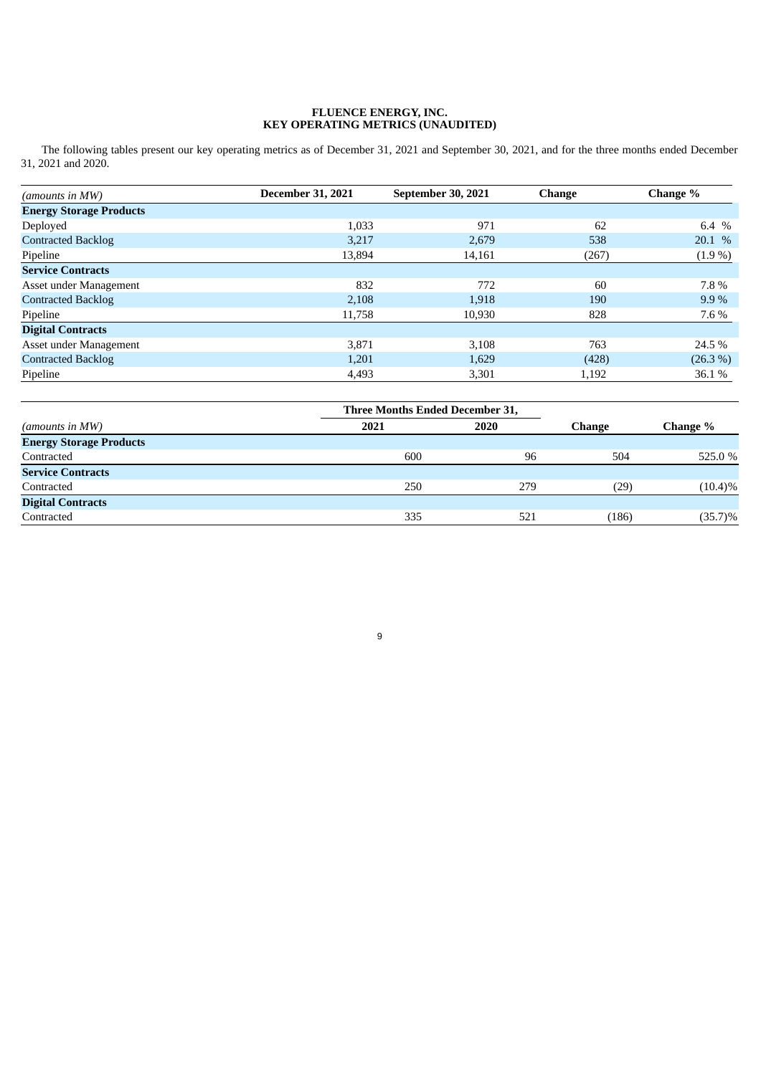#### **FLUENCE ENERGY, INC. KEY OPERATING METRICS (UNAUDITED)**

The following tables present our key operating metrics as of December 31, 2021 and September 30, 2021, and for the three months ended December 31, 2021 and 2020.

| (amounts in MW)                | <b>December 31, 2021</b> | <b>September 30, 2021</b> | <b>Change</b> | Change %   |
|--------------------------------|--------------------------|---------------------------|---------------|------------|
| <b>Energy Storage Products</b> |                          |                           |               |            |
| Deployed                       | 1,033                    | 971                       | 62            | 6.4 $%$    |
| <b>Contracted Backlog</b>      | 3,217                    | 2,679                     | 538           | 20.1 %     |
| Pipeline                       | 13,894                   | 14,161                    | (267)         | $(1.9\%)$  |
| <b>Service Contracts</b>       |                          |                           |               |            |
| Asset under Management         | 832                      | 772                       | 60            | 7.8%       |
| <b>Contracted Backlog</b>      | 2,108                    | 1,918                     | 190           | 9.9%       |
| Pipeline                       | 11,758                   | 10,930                    | 828           | 7.6 %      |
| <b>Digital Contracts</b>       |                          |                           |               |            |
| Asset under Management         | 3,871                    | 3,108                     | 763           | 24.5%      |
| <b>Contracted Backlog</b>      | 1,201                    | 1,629                     | (428)         | $(26.3\%)$ |
| Pipeline                       | 4,493                    | 3,301                     | 1,192         | 36.1 %     |

|                                |      | <b>Three Months Ended December 31,</b> |               |            |
|--------------------------------|------|----------------------------------------|---------------|------------|
| (amounts in MW)                | 2021 | 2020                                   | <b>Change</b> | Change %   |
| <b>Energy Storage Products</b> |      |                                        |               |            |
| Contracted                     | 600  | 96                                     | 504           | 525.0 %    |
| <b>Service Contracts</b>       |      |                                        |               |            |
| Contracted                     | 250  | 279                                    | (29)          | $(10.4)\%$ |
| <b>Digital Contracts</b>       |      |                                        |               |            |
| Contracted                     | 335  | 521                                    | (186)         | $(35.7)\%$ |
|                                |      |                                        |               |            |

9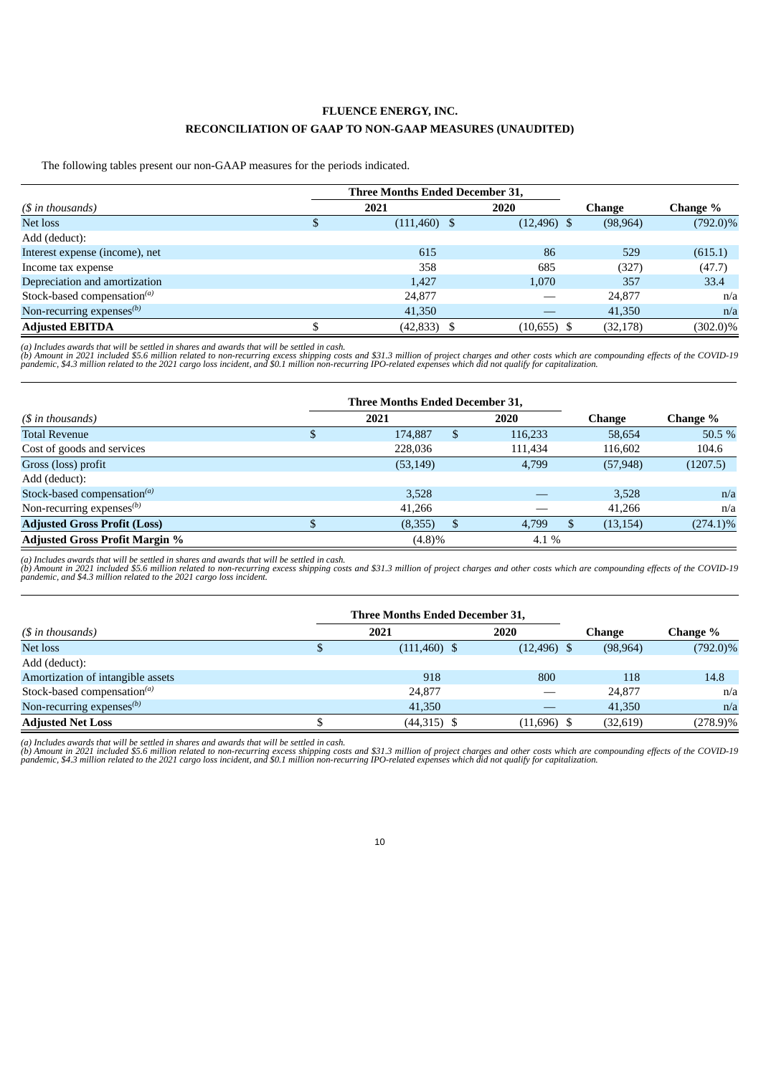# **FLUENCE ENERGY, INC. RECONCILIATION OF GAAP TO NON-GAAP MEASURES (UNAUDITED)**

The following tables present our non-GAAP measures for the periods indicated.

|                                         | <b>Three Months Ended December 31,</b> |                |               |             |
|-----------------------------------------|----------------------------------------|----------------|---------------|-------------|
| $(S$ in thousands)                      | 2021                                   | 2020           | <b>Change</b> | Change %    |
| Net loss                                | \$<br>$(111,460)$ \$                   | $(12, 496)$ \$ | (98, 964)     | $(792.0)\%$ |
| Add (deduct):                           |                                        |                |               |             |
| Interest expense (income), net          | 615                                    | 86             | 529           | (615.1)     |
| Income tax expense                      | 358                                    | 685            | (327)         | (47.7)      |
| Depreciation and amortization           | 1,427                                  | 1,070          | 357           | 33.4        |
| Stock-based compensation <sup>(a)</sup> | 24,877                                 |                | 24,877        | n/a         |
| Non-recurring expenses $^{(b)}$         | 41,350                                 |                | 41,350        | n/a         |
| <b>Adjusted EBITDA</b>                  | $(42,833)$ \$                          | $(10,655)$ \$  | (32, 178)     | $(302.0)\%$ |

(a) Includes awards that will be settled in shares and awards that will be settled in cash.<br>(b) Amount in 2021 included \$5.6 million related to non-recurring excess shipping costs and \$31.3 million of project charges and o

|                                       | <b>Three Months Ended December 31,</b> |           |         |           |             |
|---------------------------------------|----------------------------------------|-----------|---------|-----------|-------------|
| $(S \in \mathbb{R})$ in thousands)    |                                        | 2021      | 2020    | Change    | Change %    |
| <b>Total Revenue</b>                  |                                        | 174,887   | 116,233 | 58,654    | 50.5 %      |
| Cost of goods and services            |                                        | 228,036   | 111,434 | 116,602   | 104.6       |
| Gross (loss) profit                   |                                        | (53, 149) | 4,799   | (57, 948) | (1207.5)    |
| Add (deduct):                         |                                        |           |         |           |             |
| Stock-based compensation $^{(a)}$     |                                        | 3,528     |         | 3,528     | n/a         |
| Non-recurring expenses $^{(b)}$       |                                        | 41,266    |         | 41,266    | n/a         |
| <b>Adjusted Gross Profit (Loss)</b>   |                                        | (8,355)   | 4,799   | (13, 154) | $(274.1)\%$ |
| <b>Adjusted Gross Profit Margin %</b> |                                        | $(4.8)\%$ | 4.1 %   |           |             |

(a) Includes awards that will be settled in shares and awards that will be settled in cash.<br>(b) Amount in 2021 included \$5.6 million related to non-recurring excess shipping costs and \$31.3 million of project charges and o

|                                         | Three Months Ended December 31, |                |           |             |
|-----------------------------------------|---------------------------------|----------------|-----------|-------------|
| $(S$ in thousands)                      | 2021                            | 2020           | Change    | Change %    |
| Net loss                                | $(111,460)$ \$                  | $(12, 496)$ \$ | (98, 964) | $(792.0)\%$ |
| Add (deduct):                           |                                 |                |           |             |
| Amortization of intangible assets       | 918                             | 800            | 118       | 14.8        |
| Stock-based compensation <sup>(a)</sup> | 24,877                          |                | 24,877    | n/a         |
| Non-recurring expenses $(b)$            | 41,350                          |                | 41,350    | n/a         |
| <b>Adjusted Net Loss</b>                | $(44,315)$ \$                   | $(11,696)$ \$  | (32, 619) | $(278.9)\%$ |

(a) Includes awards that will be settled in shares and awards that will be settled in cash.<br>(b) Amount in 2021 included \$5.6 million related to non-recurring excess shipping costs and \$31.3 million of project charges and o